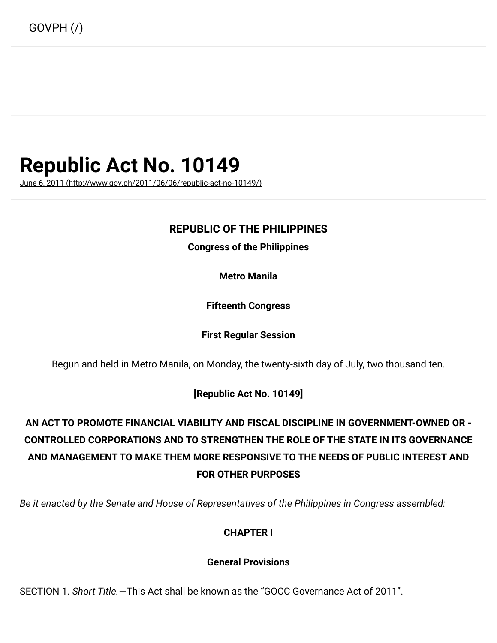# Republic Act No. 10149

June 6, 2011 [\(http://www.gov.ph/2011/06/06/republic-act-no-10149/\)](http://www.gov.ph/2011/06/06/republic-act-no-10149/)

### REPUBLIC OF THE PHILIPPINES

Congress of the Philippines

Metro Manila

Fifteenth Congress

#### First Regular Session

Begun and held in Metro Manila, on Monday, the twenty-sixth day of July, two thousand ten.

[Republic Act No. 10149]

## AN ACT TO PROMOTE FINANCIAL VIABILITY AND FISCAL DISCIPLINE IN GOVERNMENT-OWNED OR - CONTROLLED CORPORATIONS AND TO STRENGTHEN THE ROLE OF THE STATE IN ITS GOVERNANCE AND MANAGEMENT TO MAKE THEM MORE RESPONSIVE TO THE NEEDS OF PUBLIC INTEREST AND FOR OTHER PURPOSES

Be it enacted by the Senate and House of Representatives of the Philippines in Congress assembled:

### CHAPTER I

#### General Provisions

SECTION 1. Short Title.—This Act shall be known as the "GOCC Governance Act of 2011".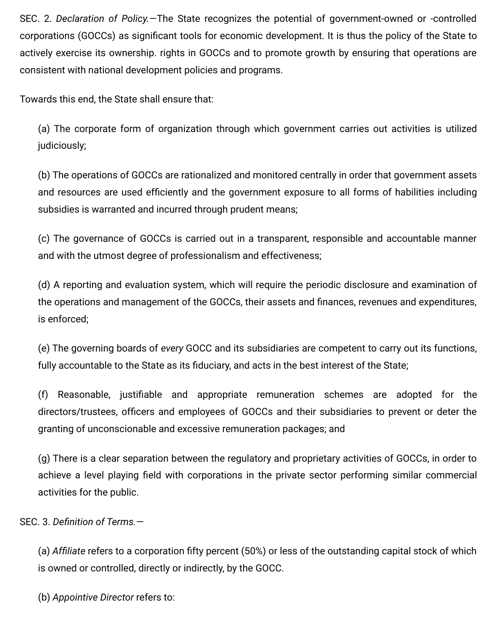SEC. 2. Declaration of Policy. - The State recognizes the potential of government-owned or -controlled corporations (GOCCs) as significant tools for economic development. It is thus the policy of the State to actively exercise its ownership. rights in GOCCs and to promote growth by ensuring that operations are consistent with national development policies and programs.

Towards this end, the State shall ensure that:

(a) The corporate form of organization through which government carries out activities is utilized judiciously;

(b) The operations of GOCCs are rationalized and monitored centrally in order that government assets and resources are used efficiently and the government exposure to all forms of habilities including subsidies is warranted and incurred through prudent means;

(c) The governance of GOCCs is carried out in a transparent, responsible and accountable manner and with the utmost degree of professionalism and effectiveness;

(d) A reporting and evaluation system, which will require the periodic disclosure and examination of the operations and management of the GOCCs, their assets and finances, revenues and expenditures, is enforced;

(e) The governing boards of every GOCC and its subsidiaries are competent to carry out its functions, fully accountable to the State as its fiduciary, and acts in the best interest of the State;

(f) Reasonable, justiable and appropriate remuneration schemes are adopted for the directors/trustees, officers and employees of GOCCs and their subsidiaries to prevent or deter the granting of unconscionable and excessive remuneration packages; and

(g) There is a clear separation between the regulatory and proprietary activities of GOCCs, in order to achieve a level playing field with corporations in the private sector performing similar commercial activities for the public.

SEC. 3. Definition of Terms. $-$ 

(a) Affiliate refers to a corporation fifty percent (50%) or less of the outstanding capital stock of which is owned or controlled, directly or indirectly, by the GOCC.

(b) Appointive Director refers to: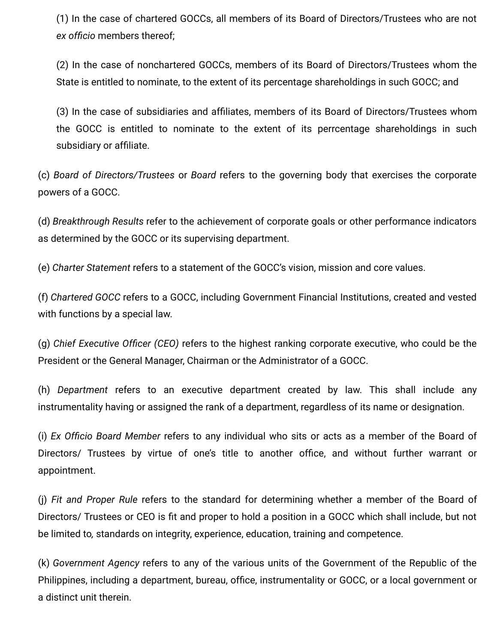(1) In the case of chartered GOCCs, all members of its Board of Directors/Trustees who are not ex officio members thereof;

(2) In the case of nonchartered GOCCs, members of its Board of Directors/Trustees whom the State is entitled to nominate, to the extent of its percentage shareholdings in such GOCC; and

(3) In the case of subsidiaries and afliates, members of its Board of Directors/Trustees whom the GOCC is entitled to nominate to the extent of its perrcentage shareholdings in such subsidiary or affiliate.

(c) Board of Directors/Trustees or Board refers to the governing body that exercises the corporate powers of a GOCC.

(d) Breakthrough Results refer to the achievement of corporate goals or other performance indicators as determined by the GOCC or its supervising department.

(e) Charter Statement refers to a statement of the GOCC's vision, mission and core values.

(f) Chartered GOCC refers to a GOCC, including Government Financial Institutions, created and vested with functions by a special law.

 $(q)$  Chief Executive Officer (CEO) refers to the highest ranking corporate executive, who could be the President or the General Manager, Chairman or the Administrator of a GOCC.

(h) Department refers to an executive department created by law. This shall include any instrumentality having or assigned the rank of a department, regardless of its name or designation.

(i) Ex Officio Board Member refers to any individual who sits or acts as a member of the Board of Directors/ Trustees by virtue of one's title to another office, and without further warrant or appointment.

(j) Fit and Proper Rule refers to the standard for determining whether a member of the Board of Directors/ Trustees or CEO is fit and proper to hold a position in a GOCC which shall include, but not be limited to, standards on integrity, experience, education, training and competence.

(k) Government Agency refers to any of the various units of the Government of the Republic of the Philippines, including a department, bureau, office, instrumentality or GOCC, or a local government or a distinct unit therein.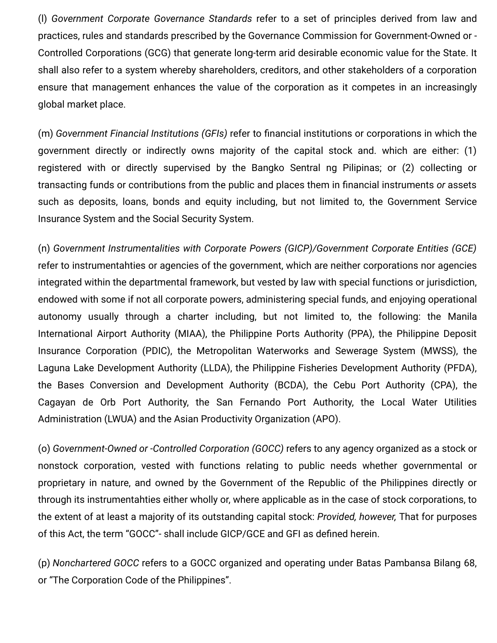(l) Government Corporate Governance Standards refer to a set of principles derived from law and practices, rules and standards prescribed by the Governance Commission for Government-Owned or - Controlled Corporations (GCG) that generate long-term arid desirable economic value for the State. It shall also refer to a system whereby shareholders, creditors, and other stakeholders of a corporation ensure that management enhances the value of the corporation as it competes in an increasingly global market place.

(m) Government Financial Institutions (GFIs) refer to financial institutions or corporations in which the government directly or indirectly owns majority of the capital stock and. which are either: (1) registered with or directly supervised by the Bangko Sentral ng Pilipinas; or (2) collecting or transacting funds or contributions from the public and places them in financial instruments or assets such as deposits, loans, bonds and equity including, but not limited to, the Government Service Insurance System and the Social Security System.

(n) Government Instrumentalities with Corporate Powers (GICP)/Government Corporate Entities (GCE) refer to instrumentahties or agencies of the government, which are neither corporations nor agencies integrated within the departmental framework, but vested by law with special functions or jurisdiction, endowed with some if not all corporate powers, administering special funds, and enjoying operational autonomy usually through a charter including, but not limited to, the following: the Manila International Airport Authority (MIAA), the Philippine Ports Authority (PPA), the Philippine Deposit Insurance Corporation (PDIC), the Metropolitan Waterworks and Sewerage System (MWSS), the Laguna Lake Development Authority (LLDA), the Philippine Fisheries Development Authority (PFDA), the Bases Conversion and Development Authority (BCDA), the Cebu Port Authority (CPA), the Cagayan de Orb Port Authority, the San Fernando Port Authority, the Local Water Utilities Administration (LWUA) and the Asian Productivity Organization (APO).

(o) Government-Owned or -Controlled Corporation (GOCC) refers to any agency organized as a stock or nonstock corporation, vested with functions relating to public needs whether governmental or proprietary in nature, and owned by the Government of the Republic of the Philippines directly or through its instrumentahties either wholly or, where applicable as in the case of stock corporations, to the extent of at least a majority of its outstanding capital stock: Provided, however, That for purposes of this Act, the term "GOCC"- shall include GICP/GCE and GFI as defined herein.

(p) Nonchartered GOCC refers to a GOCC organized and operating under Batas Pambansa Bilang 68, or "The Corporation Code of the Philippines".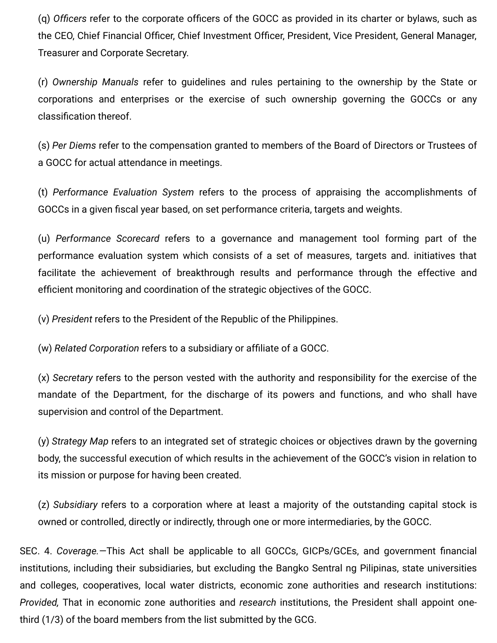(q) Officers refer to the corporate officers of the GOCC as provided in its charter or bylaws, such as the CEO, Chief Financial Officer, Chief Investment Officer, President, Vice President, General Manager, Treasurer and Corporate Secretary.

(r) Ownership Manuals refer to guidelines and rules pertaining to the ownership by the State or corporations and enterprises or the exercise of such ownership governing the GOCCs or any classification thereof.

(s) Per Diems refer to the compensation granted to members of the Board of Directors or Trustees of a GOCC for actual attendance in meetings.

(t) Performance Evaluation System refers to the process of appraising the accomplishments of GOCCs in a given fiscal year based, on set performance criteria, targets and weights.

(u) Performance Scorecard refers to a governance and management tool forming part of the performance evaluation system which consists of a set of measures, targets and. initiatives that facilitate the achievement of breakthrough results and performance through the effective and efficient monitoring and coordination of the strategic objectives of the GOCC.

(v) President refers to the President of the Republic of the Philippines.

(w) Related Corporation refers to a subsidiary or afliate of a GOCC.

(x) Secretary refers to the person vested with the authority and responsibility for the exercise of the mandate of the Department, for the discharge of its powers and functions, and who shall have supervision and control of the Department.

(y) Strategy Map refers to an integrated set of strategic choices or objectives drawn by the governing body, the successful execution of which results in the achievement of the GOCC's vision in relation to its mission or purpose for having been created.

(z) Subsidiary refers to a corporation where at least a majority of the outstanding capital stock is owned or controlled, directly or indirectly, through one or more intermediaries, by the GOCC.

SEC. 4. Coverage. - This Act shall be applicable to all GOCCs, GICPs/GCEs, and government financial institutions, including their subsidiaries, but excluding the Bangko Sentral ng Pilipinas, state universities and colleges, cooperatives, local water districts, economic zone authorities and research institutions: Provided, That in economic zone authorities and research institutions, the President shall appoint onethird (1/3) of the board members from the list submitted by the GCG.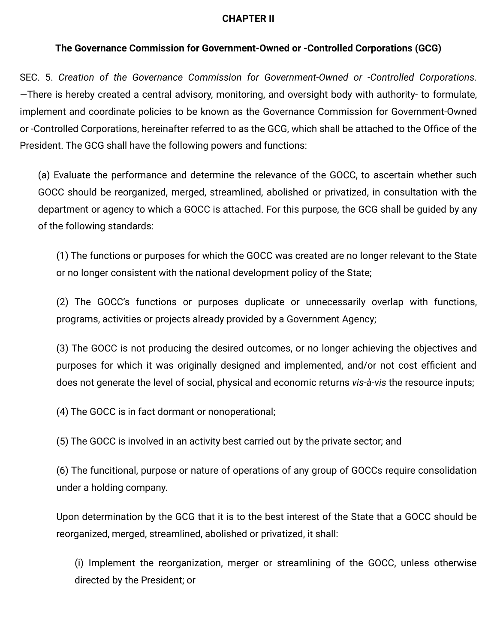### CHAPTER II

### The Governance Commission for Government-Owned or -Controlled Corporations (GCG)

SEC. 5. Creation of the Governance Commission for Government-Owned or -Controlled Corporations. —There is hereby created a central advisory, monitoring, and oversight body with authority- to formulate, implement and coordinate policies to be known as the Governance Commission for Government-Owned or -Controlled Corporations, hereinafter referred to as the GCG, which shall be attached to the Office of the President. The GCG shall have the following powers and functions:

(a) Evaluate the performance and determine the relevance of the GOCC, to ascertain whether such GOCC should be reorganized, merged, streamlined, abolished or privatized, in consultation with the department or agency to which a GOCC is attached. For this purpose, the GCG shall be guided by any of the following standards:

(1) The functions or purposes for which the GOCC was created are no longer relevant to the State or no longer consistent with the national development policy of the State;

(2) The GOCC's functions or purposes duplicate or unnecessarily overlap with functions, programs, activities or projects already provided by a Government Agency;

(3) The GOCC is not producing the desired outcomes, or no longer achieving the objectives and purposes for which it was originally designed and implemented, and/or not cost efficient and does not generate the level of social, physical and economic returns vis-à-vis the resource inputs;

(4) The GOCC is in fact dormant or nonoperational;

(5) The GOCC is involved in an activity best carried out by the private sector; and

(6) The funcitional, purpose or nature of operations of any group of GOCCs require consolidation under a holding company.

Upon determination by the GCG that it is to the best interest of the State that a GOCC should be reorganized, merged, streamlined, abolished or privatized, it shall:

(i) Implement the reorganization, merger or streamlining of the GOCC, unless otherwise directed by the President; or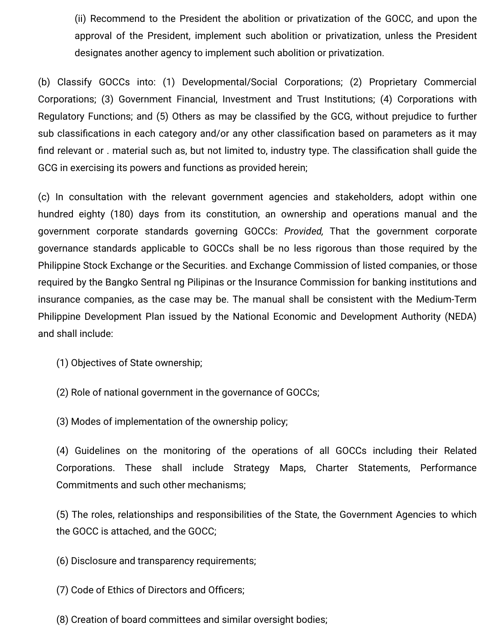(ii) Recommend to the President the abolition or privatization of the GOCC, and upon the approval of the President, implement such abolition or privatization, unless the President designates another agency to implement such abolition or privatization.

(b) Classify GOCCs into: (1) Developmental/Social Corporations; (2) Proprietary Commercial Corporations; (3) Government Financial, Investment and Trust Institutions; (4) Corporations with Regulatory Functions; and (5) Others as may be classified by the GCG, without prejudice to further sub classifications in each category and/or any other classification based on parameters as it may find relevant or . material such as, but not limited to, industry type. The classification shall guide the GCG in exercising its powers and functions as provided herein;

(c) In consultation with the relevant government agencies and stakeholders, adopt within one hundred eighty (180) days from its constitution, an ownership and operations manual and the government corporate standards governing GOCCs: Provided, That the government corporate governance standards applicable to GOCCs shall be no less rigorous than those required by the Philippine Stock Exchange or the Securities. and Exchange Commission of listed companies, or those required by the Bangko Sentral ng Pilipinas or the Insurance Commission for banking institutions and insurance companies, as the case may be. The manual shall be consistent with the Medium-Term Philippine Development Plan issued by the National Economic and Development Authority (NEDA) and shall include:

(1) Objectives of State ownership;

(2) Role of national government in the governance of GOCCs;

(3) Modes of implementation of the ownership policy;

(4) Guidelines on the monitoring of the operations of all GOCCs including their Related Corporations. These shall include Strategy Maps, Charter Statements, Performance Commitments and such other mechanisms;

(5) The roles, relationships and responsibilities of the State, the Government Agencies to which the GOCC is attached, and the GOCC;

(6) Disclosure and transparency requirements;

(7) Code of Ethics of Directors and Officers;

(8) Creation of board committees and similar oversight bodies;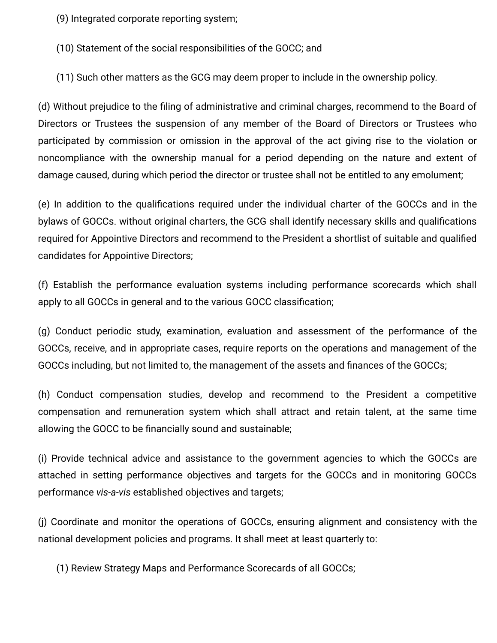(9) Integrated corporate reporting system;

(10) Statement of the social responsibilities of the GOCC; and

(11) Such other matters as the GCG may deem proper to include in the ownership policy.

(d) Without prejudice to the filing of administrative and criminal charges, recommend to the Board of Directors or Trustees the suspension of any member of the Board of Directors or Trustees who participated by commission or omission in the approval of the act giving rise to the violation or noncompliance with the ownership manual for a period depending on the nature and extent of damage caused, during which period the director or trustee shall not be entitled to any emolument;

(e) In addition to the qualifications required under the individual charter of the GOCCs and in the bylaws of GOCCs. without original charters, the GCG shall identify necessary skills and qualifications required for Appointive Directors and recommend to the President a shortlist of suitable and qualified candidates for Appointive Directors;

(f) Establish the performance evaluation systems including performance scorecards which shall apply to all GOCCs in general and to the various GOCC classification;

(g) Conduct periodic study, examination, evaluation and assessment of the performance of the GOCCs, receive, and in appropriate cases, require reports on the operations and management of the GOCCs including, but not limited to, the management of the assets and finances of the GOCCs;

(h) Conduct compensation studies, develop and recommend to the President a competitive compensation and remuneration system which shall attract and retain talent, at the same time allowing the GOCC to be financially sound and sustainable;

(i) Provide technical advice and assistance to the government agencies to which the GOCCs are attached in setting performance objectives and targets for the GOCCs and in monitoring GOCCs performance vis-a-vis established objectives and targets;

(j) Coordinate and monitor the operations of GOCCs, ensuring alignment and consistency with the national development policies and programs. It shall meet at least quarterly to:

(1) Review Strategy Maps and Performance Scorecards of all GOCCs;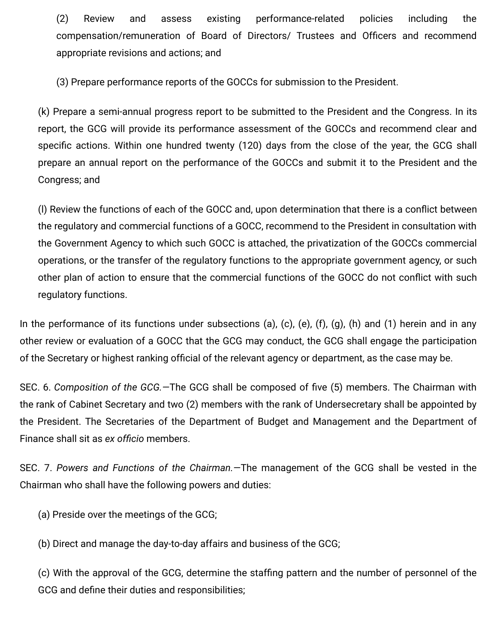(2) Review and assess existing performance-related policies including the compensation/remuneration of Board of Directors/ Trustees and Officers and recommend appropriate revisions and actions; and

(3) Prepare performance reports of the GOCCs for submission to the President.

(k) Prepare a semi-annual progress report to be submitted to the President and the Congress. In its report, the GCG will provide its performance assessment of the GOCCs and recommend clear and specific actions. Within one hundred twenty (120) days from the close of the year, the GCG shall prepare an annual report on the performance of the GOCCs and submit it to the President and the Congress; and

(I) Review the functions of each of the GOCC and, upon determination that there is a conflict between the regulatory and commercial functions of a GOCC, recommend to the President in consultation with the Government Agency to which such GOCC is attached, the privatization of the GOCCs commercial operations, or the transfer of the regulatory functions to the appropriate government agency, or such other plan of action to ensure that the commercial functions of the GOCC do not conflict with such regulatory functions.

In the performance of its functions under subsections (a), (c), (e), (f), (g), (h) and (1) herein and in any other review or evaluation of a GOCC that the GCG may conduct, the GCG shall engage the participation of the Secretary or highest ranking official of the relevant agency or department, as the case may be.

SEC. 6. Composition of the GCG. - The GCG shall be composed of five (5) members. The Chairman with the rank of Cabinet Secretary and two (2) members with the rank of Undersecretary shall be appointed by the President. The Secretaries of the Department of Budget and Management and the Department of Finance shall sit as ex officio members.

SEC. 7. Powers and Functions of the Chairman.—The management of the GCG shall be vested in the Chairman who shall have the following powers and duties:

(a) Preside over the meetings of the GCG;

(b) Direct and manage the day-to-day affairs and business of the GCG;

(c) With the approval of the GCG, determine the stafng pattern and the number of personnel of the GCG and define their duties and responsibilities;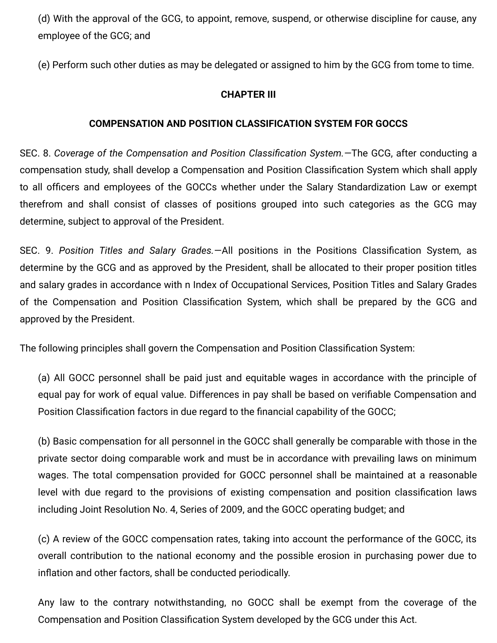(d) With the approval of the GCG, to appoint, remove, suspend, or otherwise discipline for cause, any employee of the GCG; and

(e) Perform such other duties as may be delegated or assigned to him by the GCG from tome to time.

### CHAPTER III

### COMPENSATION AND POSITION CLASSIFICATION SYSTEM FOR GOCCS

SEC. 8. Coverage of the Compensation and Position Classification System. - The GCG, after conducting a compensation study, shall develop a Compensation and Position Classification System which shall apply to all officers and employees of the GOCCs whether under the Salary Standardization Law or exempt therefrom and shall consist of classes of positions grouped into such categories as the GCG may determine, subject to approval of the President.

SEC. 9. Position Titles and Salary Grades. - All positions in the Positions Classification System, as determine by the GCG and as approved by the President, shall be allocated to their proper position titles and salary grades in accordance with n Index of Occupational Services, Position Titles and Salary Grades of the Compensation and Position Classification System, which shall be prepared by the GCG and approved by the President.

The following principles shall govern the Compensation and Position Classification System:

(a) All GOCC personnel shall be paid just and equitable wages in accordance with the principle of equal pay for work of equal value. Differences in pay shall be based on verifiable Compensation and Position Classification factors in due regard to the financial capability of the GOCC;

(b) Basic compensation for all personnel in the GOCC shall generally be comparable with those in the private sector doing comparable work and must be in accordance with prevailing laws on minimum wages. The total compensation provided for GOCC personnel shall be maintained at a reasonable level with due regard to the provisions of existing compensation and position classification laws including Joint Resolution No. 4, Series of 2009, and the GOCC operating budget; and

(c) A review of the GOCC compensation rates, taking into account the performance of the GOCC, its overall contribution to the national economy and the possible erosion in purchasing power due to inflation and other factors, shall be conducted periodically.

Any law to the contrary notwithstanding, no GOCC shall be exempt from the coverage of the Compensation and Position Classification System developed by the GCG under this Act.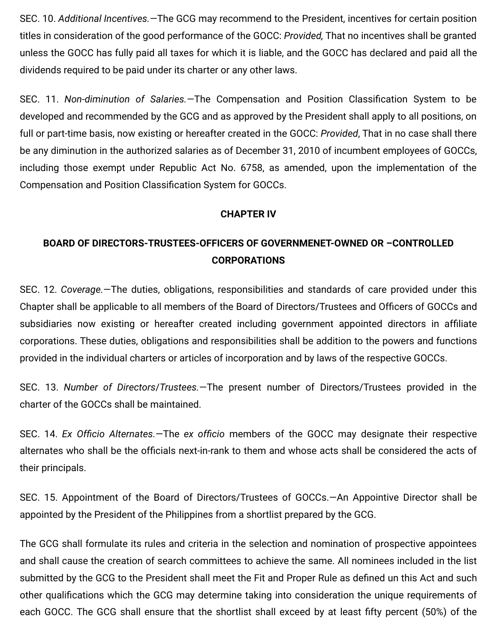SEC. 10. Additional Incentives.—The GCG may recommend to the President, incentives for certain position titles in consideration of the good performance of the GOCC: Provided, That no incentives shall be granted unless the GOCC has fully paid all taxes for which it is liable, and the GOCC has declared and paid all the dividends required to be paid under its charter or any other laws.

SEC. 11. Non-diminution of Salaries. The Compensation and Position Classification System to be developed and recommended by the GCG and as approved by the President shall apply to all positions, on full or part-time basis, now existing or hereafter created in the GOCC: Provided, That in no case shall there be any diminution in the authorized salaries as of December 31, 2010 of incumbent employees of GOCCs, including those exempt under Republic Act No. 6758, as amended, upon the implementation of the Compensation and Position Classification System for GOCCs.

### CHAPTER IV

### BOARD OF DIRECTORS-TRUSTEES-OFFICERS OF GOVERNMENET-OWNED OR –CONTROLLED CORPORATIONS

SEC. 12. Coverage.—The duties, obligations, responsibilities and standards of care provided under this Chapter shall be applicable to all members of the Board of Directors/Trustees and Officers of GOCCs and subsidiaries now existing or hereafter created including government appointed directors in affiliate corporations. These duties, obligations and responsibilities shall be addition to the powers and functions provided in the individual charters or articles of incorporation and by laws of the respective GOCCs.

SEC. 13. Number of Directors/Trustees.—The present number of Directors/Trustees provided in the charter of the GOCCs shall be maintained.

SEC. 14. Ex Officio Alternates.—The ex officio members of the GOCC may designate their respective alternates who shall be the officials next-in-rank to them and whose acts shall be considered the acts of their principals.

SEC. 15. Appointment of the Board of Directors/Trustees of GOCCs.—An Appointive Director shall be appointed by the President of the Philippines from a shortlist prepared by the GCG.

The GCG shall formulate its rules and criteria in the selection and nomination of prospective appointees and shall cause the creation of search committees to achieve the same. All nominees included in the list submitted by the GCG to the President shall meet the Fit and Proper Rule as defined un this Act and such other qualifications which the GCG may determine taking into consideration the unique requirements of each GOCC. The GCG shall ensure that the shortlist shall exceed by at least fifty percent (50%) of the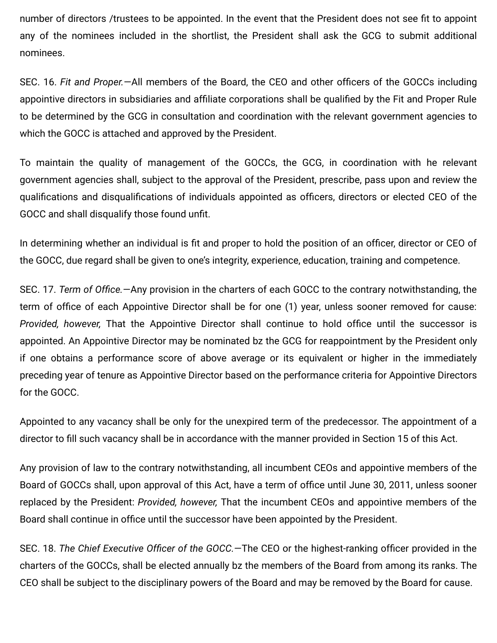number of directors /trustees to be appointed. In the event that the President does not see fit to appoint any of the nominees included in the shortlist, the President shall ask the GCG to submit additional nominees.

SEC. 16. Fit and Proper.—All members of the Board, the CEO and other officers of the GOCCs including appointive directors in subsidiaries and affiliate corporations shall be qualified by the Fit and Proper Rule to be determined by the GCG in consultation and coordination with the relevant government agencies to which the GOCC is attached and approved by the President.

To maintain the quality of management of the GOCCs, the GCG, in coordination with he relevant government agencies shall, subject to the approval of the President, prescribe, pass upon and review the qualifications and disqualifications of individuals appointed as officers, directors or elected CEO of the GOCC and shall disqualify those found unfit.

In determining whether an individual is fit and proper to hold the position of an officer, director or CEO of the GOCC, due regard shall be given to one's integrity, experience, education, training and competence.

SEC. 17. Term of Office.—Any provision in the charters of each GOCC to the contrary notwithstanding, the term of office of each Appointive Director shall be for one (1) year, unless sooner removed for cause: Provided, however, That the Appointive Director shall continue to hold office until the successor is appointed. An Appointive Director may be nominated bz the GCG for reappointment by the President only if one obtains a performance score of above average or its equivalent or higher in the immediately preceding year of tenure as Appointive Director based on the performance criteria for Appointive Directors for the GOCC.

Appointed to any vacancy shall be only for the unexpired term of the predecessor. The appointment of a director to fill such vacancy shall be in accordance with the manner provided in Section 15 of this Act.

Any provision of law to the contrary notwithstanding, all incumbent CEOs and appointive members of the Board of GOCCs shall, upon approval of this Act, have a term of office until June 30, 2011, unless sooner replaced by the President: Provided, however, That the incumbent CEOs and appointive members of the Board shall continue in office until the successor have been appointed by the President.

SEC. 18. The Chief Executive Officer of the GOCC.—The CEO or the highest-ranking officer provided in the charters of the GOCCs, shall be elected annually bz the members of the Board from among its ranks. The CEO shall be subject to the disciplinary powers of the Board and may be removed by the Board for cause.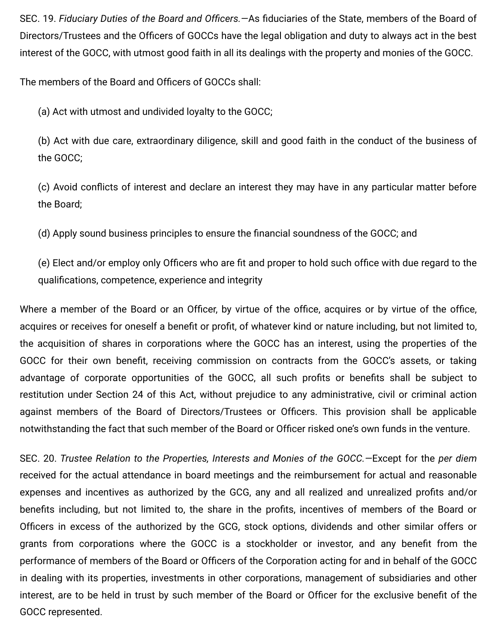SEC. 19. Fiduciary Duties of the Board and Officers. - As fiduciaries of the State, members of the Board of Directors/Trustees and the Officers of GOCCs have the legal obligation and duty to always act in the best interest of the GOCC, with utmost good faith in all its dealings with the property and monies of the GOCC.

The members of the Board and Officers of GOCCs shall:

(a) Act with utmost and undivided loyalty to the GOCC;

(b) Act with due care, extraordinary diligence, skill and good faith in the conduct of the business of the GOCC;

(c) Avoid conflicts of interest and declare an interest they may have in any particular matter before the Board;

(d) Apply sound business principles to ensure the financial soundness of the GOCC; and

(e) Elect and/or employ only Officers who are fit and proper to hold such office with due regard to the qualifications, competence, experience and integrity

Where a member of the Board or an Officer, by virtue of the office, acquires or by virtue of the office, acquires or receives for oneself a benefit or profit, of whatever kind or nature including, but not limited to, the acquisition of shares in corporations where the GOCC has an interest, using the properties of the GOCC for their own benefit, receiving commission on contracts from the GOCC's assets, or taking advantage of corporate opportunities of the GOCC, all such profits or benefits shall be subject to restitution under Section 24 of this Act, without prejudice to any administrative, civil or criminal action against members of the Board of Directors/Trustees or Officers. This provision shall be applicable notwithstanding the fact that such member of the Board or Officer risked one's own funds in the venture.

SEC. 20. Trustee Relation to the Properties, Interests and Monies of the GOCC.—Except for the per diem received for the actual attendance in board meetings and the reimbursement for actual and reasonable expenses and incentives as authorized by the GCG, any and all realized and unrealized profits and/or benefits including, but not limited to, the share in the profits, incentives of members of the Board or Officers in excess of the authorized by the GCG, stock options, dividends and other similar offers or grants from corporations where the GOCC is a stockholder or investor, and any benefit from the performance of members of the Board or Officers of the Corporation acting for and in behalf of the GOCC in dealing with its properties, investments in other corporations, management of subsidiaries and other interest, are to be held in trust by such member of the Board or Officer for the exclusive benefit of the GOCC represented.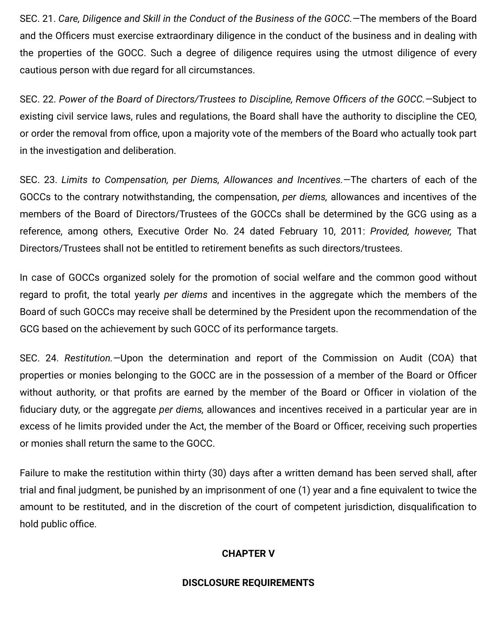SEC. 21. Care, Diligence and Skill in the Conduct of the Business of the GOCC.—The members of the Board and the Officers must exercise extraordinary diligence in the conduct of the business and in dealing with the properties of the GOCC. Such a degree of diligence requires using the utmost diligence of every cautious person with due regard for all circumstances.

SEC. 22. Power of the Board of Directors/Trustees to Discipline, Remove Officers of the GOCC. - Subject to existing civil service laws, rules and regulations, the Board shall have the authority to discipline the CEO, or order the removal from office, upon a majority vote of the members of the Board who actually took part in the investigation and deliberation.

SEC. 23. Limits to Compensation, per Diems, Allowances and Incentives.—The charters of each of the GOCCs to the contrary notwithstanding, the compensation, per diems, allowances and incentives of the members of the Board of Directors/Trustees of the GOCCs shall be determined by the GCG using as a reference, among others, Executive Order No. 24 dated February 10, 2011: Provided, however, That Directors/Trustees shall not be entitled to retirement benefits as such directors/trustees.

In case of GOCCs organized solely for the promotion of social welfare and the common good without regard to profit, the total yearly per diems and incentives in the aggregate which the members of the Board of such GOCCs may receive shall be determined by the President upon the recommendation of the GCG based on the achievement by such GOCC of its performance targets.

SEC. 24. Restitution.—Upon the determination and report of the Commission on Audit (COA) that properties or monies belonging to the GOCC are in the possession of a member of the Board or Officer without authority, or that profits are earned by the member of the Board or Officer in violation of the fiduciary duty, or the aggregate per diems, allowances and incentives received in a particular year are in excess of he limits provided under the Act, the member of the Board or Officer, receiving such properties or monies shall return the same to the GOCC.

Failure to make the restitution within thirty (30) days after a written demand has been served shall, after trial and final judgment, be punished by an imprisonment of one (1) year and a fine equivalent to twice the amount to be restituted, and in the discretion of the court of competent jurisdiction, disqualification to hold public office.

### CHAPTER V

### DISCLOSURE REQUIREMENTS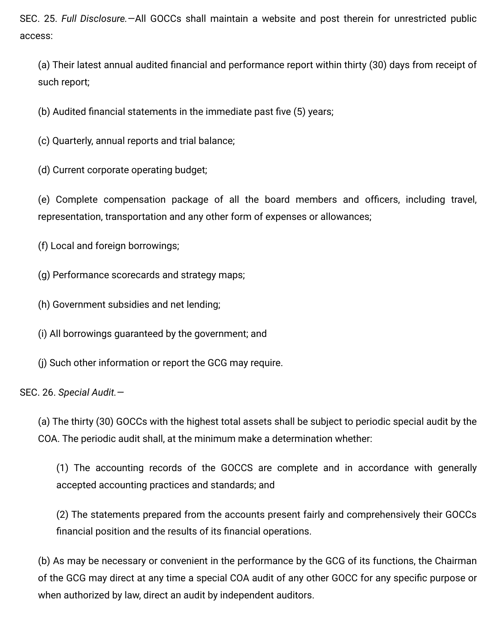SEC. 25. Full Disclosure.—All GOCCs shall maintain a website and post therein for unrestricted public access:

(a) Their latest annual audited financial and performance report within thirty (30) days from receipt of such report;

(b) Audited financial statements in the immediate past five  $(5)$  years;

(c) Quarterly, annual reports and trial balance;

(d) Current corporate operating budget;

(e) Complete compensation package of all the board members and officers, including travel, representation, transportation and any other form of expenses or allowances;

(f) Local and foreign borrowings;

(g) Performance scorecards and strategy maps;

(h) Government subsidies and net lending;

(i) All borrowings guaranteed by the government; and

(j) Such other information or report the GCG may require.

SEC. 26. Special Audit.—

(a) The thirty (30) GOCCs with the highest total assets shall be subject to periodic special audit by the COA. The periodic audit shall, at the minimum make a determination whether:

(1) The accounting records of the GOCCS are complete and in accordance with generally accepted accounting practices and standards; and

(2) The statements prepared from the accounts present fairly and comprehensively their GOCCs financial position and the results of its financial operations.

(b) As may be necessary or convenient in the performance by the GCG of its functions, the Chairman of the GCG may direct at any time a special COA audit of any other GOCC for any specific purpose or when authorized by law, direct an audit by independent auditors.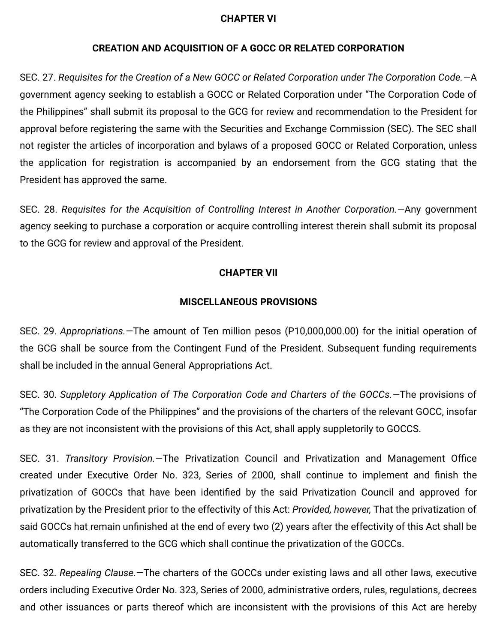### CHAPTER VI

### CREATION AND ACQUISITION OF A GOCC OR RELATED CORPORATION

SEC. 27. Requisites for the Creation of a New GOCC or Related Corporation under The Corporation Code.—A government agency seeking to establish a GOCC or Related Corporation under "The Corporation Code of the Philippines" shall submit its proposal to the GCG for review and recommendation to the President for approval before registering the same with the Securities and Exchange Commission (SEC). The SEC shall not register the articles of incorporation and bylaws of a proposed GOCC or Related Corporation, unless the application for registration is accompanied by an endorsement from the GCG stating that the President has approved the same.

SEC. 28. Requisites for the Acquisition of Controlling Interest in Another Corporation.—Any government agency seeking to purchase a corporation or acquire controlling interest therein shall submit its proposal to the GCG for review and approval of the President.

### CHAPTER VII

#### MISCELLANEOUS PROVISIONS

SEC. 29. Appropriations.—The amount of Ten million pesos (P10,000,000.00) for the initial operation of the GCG shall be source from the Contingent Fund of the President. Subsequent funding requirements shall be included in the annual General Appropriations Act.

SEC. 30. Suppletory Application of The Corporation Code and Charters of the GOCCs.—The provisions of "The Corporation Code of the Philippines" and the provisions of the charters of the relevant GOCC, insofar as they are not inconsistent with the provisions of this Act, shall apply suppletorily to GOCCS.

SEC. 31. Transitory Provision. - The Privatization Council and Privatization and Management Office created under Executive Order No. 323, Series of 2000, shall continue to implement and finish the privatization of GOCCs that have been identified by the said Privatization Council and approved for privatization by the President prior to the effectivity of this Act: Provided, however, That the privatization of said GOCCs hat remain unfinished at the end of every two (2) years after the effectivity of this Act shall be automatically transferred to the GCG which shall continue the privatization of the GOCCs.

SEC. 32. Repealing Clause.—The charters of the GOCCs under existing laws and all other laws, executive orders including Executive Order No. 323, Series of 2000, administrative orders, rules, regulations, decrees and other issuances or parts thereof which are inconsistent with the provisions of this Act are hereby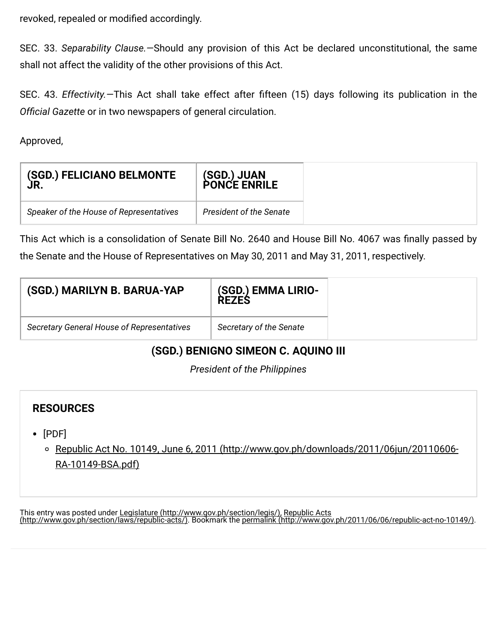revoked, repealed or modified accordingly.

SEC. 33. Separability Clause.—Should any provision of this Act be declared unconstitutional, the same shall not affect the validity of the other provisions of this Act.

SEC. 43. Effectivity. - This Act shall take effect after fifteen (15) days following its publication in the Official Gazette or in two newspapers of general circulation.

Approved,

| (SGD.) FELICIANO BELMONTE               | (SGD.) JUAN             |
|-----------------------------------------|-------------------------|
| ÙR.                                     | <b>PONCE ENRILE</b>     |
| Speaker of the House of Representatives | President of the Senate |

This Act which is a consolidation of Senate Bill No. 2640 and House Bill No. 4067 was finally passed by the Senate and the House of Representatives on May 30, 2011 and May 31, 2011, respectively.

| (SGD.) MARILYN B. BARUA-YAP                       | (SGD.) EMMA LIRIO-<br><b>REZES</b> |
|---------------------------------------------------|------------------------------------|
| <b>Secretary General House of Representatives</b> | Secretary of the Senate            |

### (SGD.) BENIGNO SIMEON C. AQUINO III

President of the Philippines

### RESOURCES

[PDF]

[Republic Act No. 10149, June 6, 2011 \(http://www.gov.ph/downloads/2011/06jun/20110606-](http://www.gov.ph/downloads/2011/06jun/20110606-RA-10149-BSA.pdf) RA-10149-BSA.pdf)

This entry was posted under Legislature [\(http://www.gov.ph/section/legis/\),](http://www.gov.ph/section/legis/) Republic Acts [\(http://www.gov.ph/section/laws/republic-acts/\).](http://www.gov.ph/section/laws/republic-acts/) Bookmark the permalink [\(http://www.gov.ph/2011/06/06/republic-act-no-10149/\).](http://www.gov.ph/2011/06/06/republic-act-no-10149/)